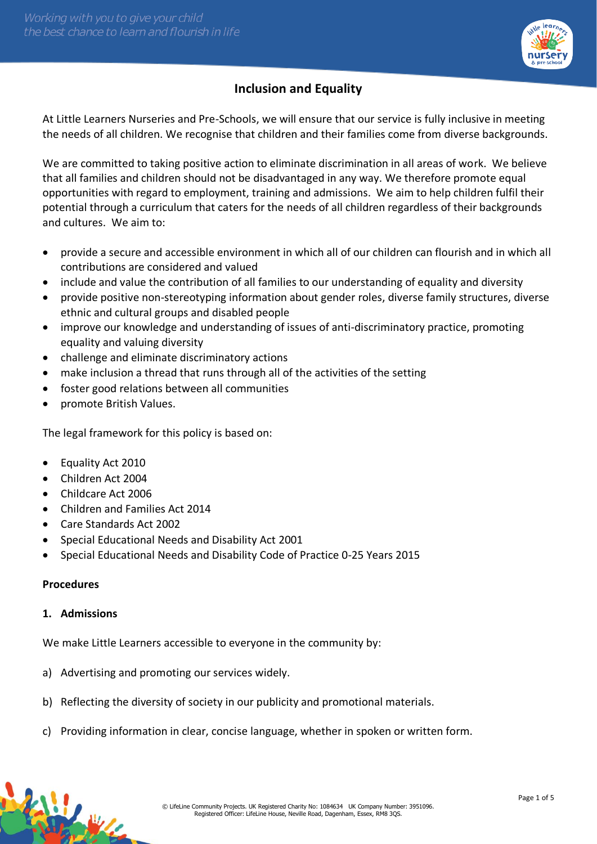

# **Inclusion and Equality**

At Little Learners Nurseries and Pre-Schools, we will ensure that our service is fully inclusive in meeting the needs of all children. We recognise that children and their families come from diverse backgrounds.

We are committed to taking positive action to eliminate discrimination in all areas of work. We believe that all families and children should not be disadvantaged in any way. We therefore promote equal opportunities with regard to employment, training and admissions. We aim to help children fulfil their potential through a curriculum that caters for the needs of all children regardless of their backgrounds and cultures. We aim to:

- provide a secure and accessible environment in which all of our children can flourish and in which all contributions are considered and valued
- include and value the contribution of all families to our understanding of equality and diversity
- provide positive non-stereotyping information about gender roles, diverse family structures, diverse ethnic and cultural groups and disabled people
- improve our knowledge and understanding of issues of anti-discriminatory practice, promoting equality and valuing diversity
- challenge and eliminate discriminatory actions
- make inclusion a thread that runs through all of the activities of the setting
- foster good relations between all communities
- promote British Values.

The legal framework for this policy is based on:

- Equality Act 2010
- Children Act 2004
- Childcare Act 2006
- Children and Families Act 2014
- Care Standards Act 2002
- Special Educational Needs and Disability Act 2001
- Special Educational Needs and Disability Code of Practice 0-25 Years 2015

#### **Procedures**

#### **1. Admissions**

We make Little Learners accessible to everyone in the community by:

- a) Advertising and promoting our services widely.
- b) Reflecting the diversity of society in our publicity and promotional materials.
- c) Providing information in clear, concise language, whether in spoken or written form.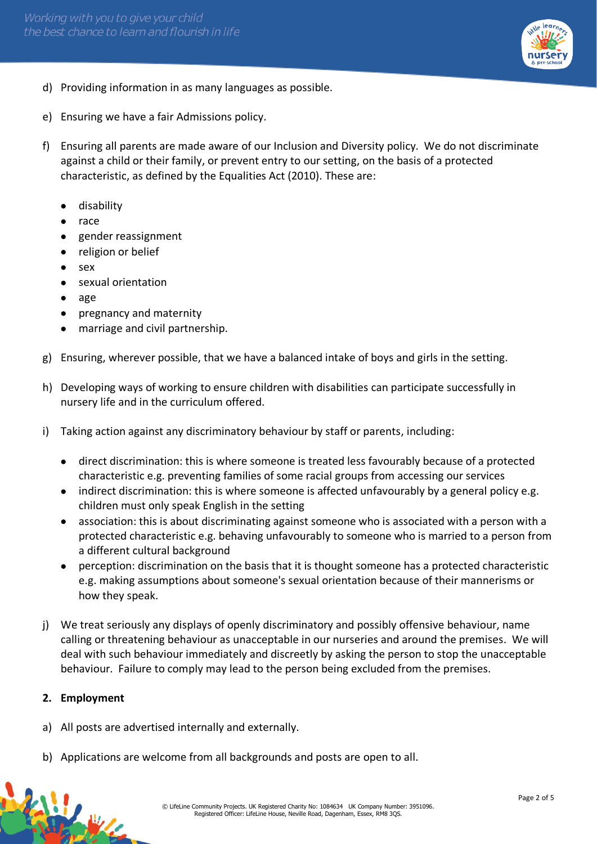

- d) Providing information in as many languages as possible.
- e) Ensuring we have a fair Admissions policy.
- f) Ensuring all parents are made aware of our Inclusion and Diversity policy. We do not discriminate against a child or their family, or prevent entry to our setting, on the basis of a protected characteristic, as defined by the Equalities Act (2010). These are:
	- disability
	- race
	- gender reassignment
	- religion or belief
	- sex
	- sexual orientation
	- age
	- pregnancy and maternity
	- marriage and civil partnership.
- g) Ensuring, wherever possible, that we have a balanced intake of boys and girls in the setting.
- h) Developing ways of working to ensure children with disabilities can participate successfully in nursery life and in the curriculum offered.
- i) Taking action against any discriminatory behaviour by staff or parents, including:
	- direct discrimination: this is where someone is treated less favourably because of a protected characteristic e.g. preventing families of some racial groups from accessing our services
	- indirect discrimination: this is where someone is affected unfavourably by a general policy e.g. children must only speak English in the setting
	- association: this is about discriminating against someone who is associated with a person with a protected characteristic e.g. behaving unfavourably to someone who is married to a person from a different cultural background
	- perception: discrimination on the basis that it is thought someone has a protected characteristic e.g. making assumptions about someone's sexual orientation because of their mannerisms or how they speak.
- j) We treat seriously any displays of openly discriminatory and possibly offensive behaviour, name calling or threatening behaviour as unacceptable in our nurseries and around the premises. We will deal with such behaviour immediately and discreetly by asking the person to stop the unacceptable behaviour. Failure to comply may lead to the person being excluded from the premises.

# **2. Employment**

线

- a) All posts are advertised internally and externally.
- b) Applications are welcome from all backgrounds and posts are open to all.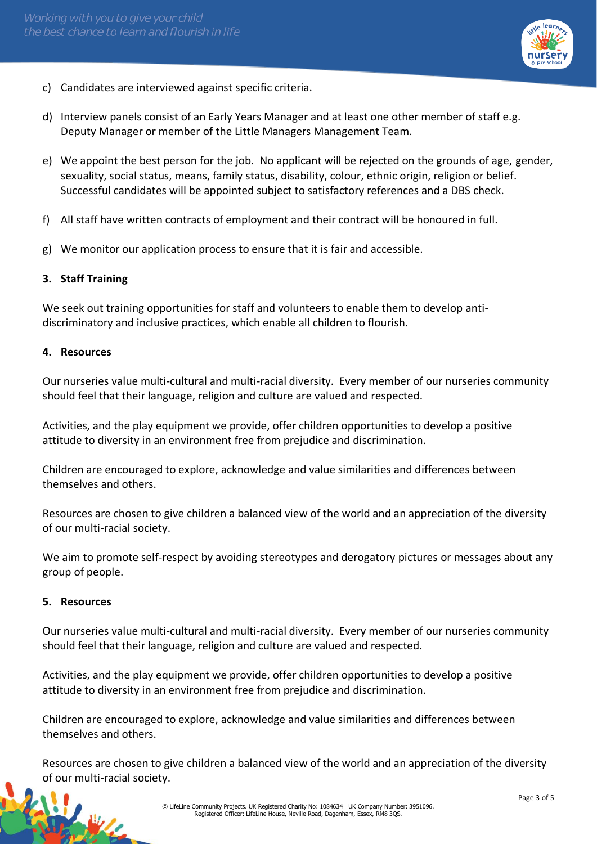

- c) Candidates are interviewed against specific criteria.
- d) Interview panels consist of an Early Years Manager and at least one other member of staff e.g. Deputy Manager or member of the Little Managers Management Team.
- e) We appoint the best person for the job. No applicant will be rejected on the grounds of age, gender, sexuality, social status, means, family status, disability, colour, ethnic origin, religion or belief. Successful candidates will be appointed subject to satisfactory references and a DBS check.
- f) All staff have written contracts of employment and their contract will be honoured in full.
- g) We monitor our application process to ensure that it is fair and accessible.

#### **3. Staff Training**

We seek out training opportunities for staff and volunteers to enable them to develop antidiscriminatory and inclusive practices, which enable all children to flourish.

#### **4. Resources**

Our nurseries value multi-cultural and multi-racial diversity. Every member of our nurseries community should feel that their language, religion and culture are valued and respected.

Activities, and the play equipment we provide, offer children opportunities to develop a positive attitude to diversity in an environment free from prejudice and discrimination.

Children are encouraged to explore, acknowledge and value similarities and differences between themselves and others.

Resources are chosen to give children a balanced view of the world and an appreciation of the diversity of our multi-racial society.

We aim to promote self-respect by avoiding stereotypes and derogatory pictures or messages about any group of people.

#### **5. Resources**

AU

Our nurseries value multi-cultural and multi-racial diversity. Every member of our nurseries community should feel that their language, religion and culture are valued and respected.

Activities, and the play equipment we provide, offer children opportunities to develop a positive attitude to diversity in an environment free from prejudice and discrimination.

Children are encouraged to explore, acknowledge and value similarities and differences between themselves and others.

Resources are chosen to give children a balanced view of the world and an appreciation of the diversity of our multi-racial society.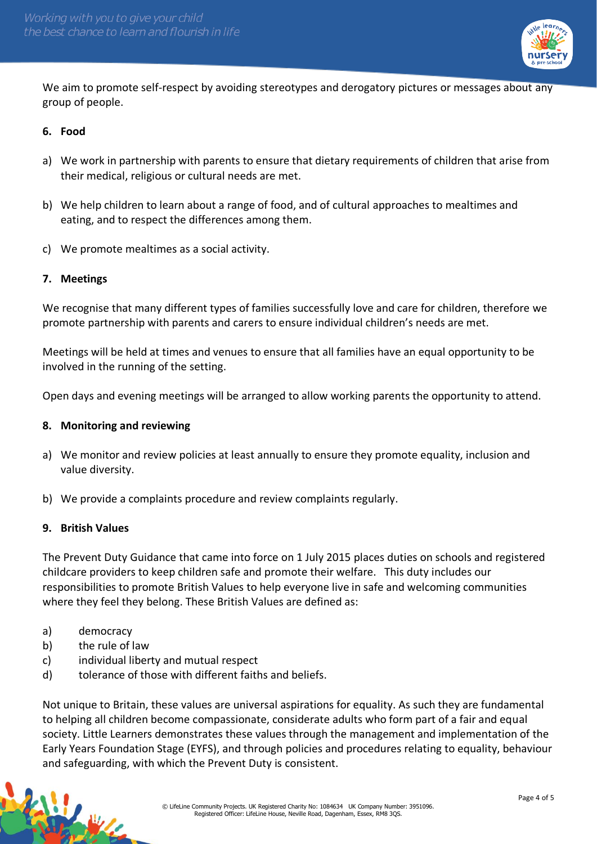

We aim to promote self-respect by avoiding stereotypes and derogatory pictures or messages about any group of people.

## **6. Food**

- a) We work in partnership with parents to ensure that dietary requirements of children that arise from their medical, religious or cultural needs are met.
- b) We help children to learn about a range of food, and of cultural approaches to mealtimes and eating, and to respect the differences among them.
- c) We promote mealtimes as a social activity.

## **7. Meetings**

We recognise that many different types of families successfully love and care for children, therefore we promote partnership with parents and carers to ensure individual children's needs are met.

Meetings will be held at times and venues to ensure that all families have an equal opportunity to be involved in the running of the setting.

Open days and evening meetings will be arranged to allow working parents the opportunity to attend.

#### **8. Monitoring and reviewing**

- a) We monitor and review policies at least annually to ensure they promote equality, inclusion and value diversity.
- b) We provide a complaints procedure and review complaints regularly.

#### **9. British Values**

The Prevent Duty Guidance that came into force on 1 July 2015 places duties on schools and registered childcare providers to keep children safe and promote their welfare. This duty includes our responsibilities to promote British Values to help everyone live in safe and welcoming communities where they feel they belong. These British Values are defined as:

a) democracy

传说业

- b) the rule of law
- c) individual liberty and mutual respect
- d) tolerance of those with different faiths and beliefs.

Not unique to Britain, these values are universal aspirations for equality. As such they are fundamental to helping all children become compassionate, considerate adults who form part of a fair and equal society. Little Learners demonstrates these values through the management and implementation of the Early Years Foundation Stage (EYFS), and through policies and procedures relating to equality, behaviour and safeguarding, with which the Prevent Duty is consistent.